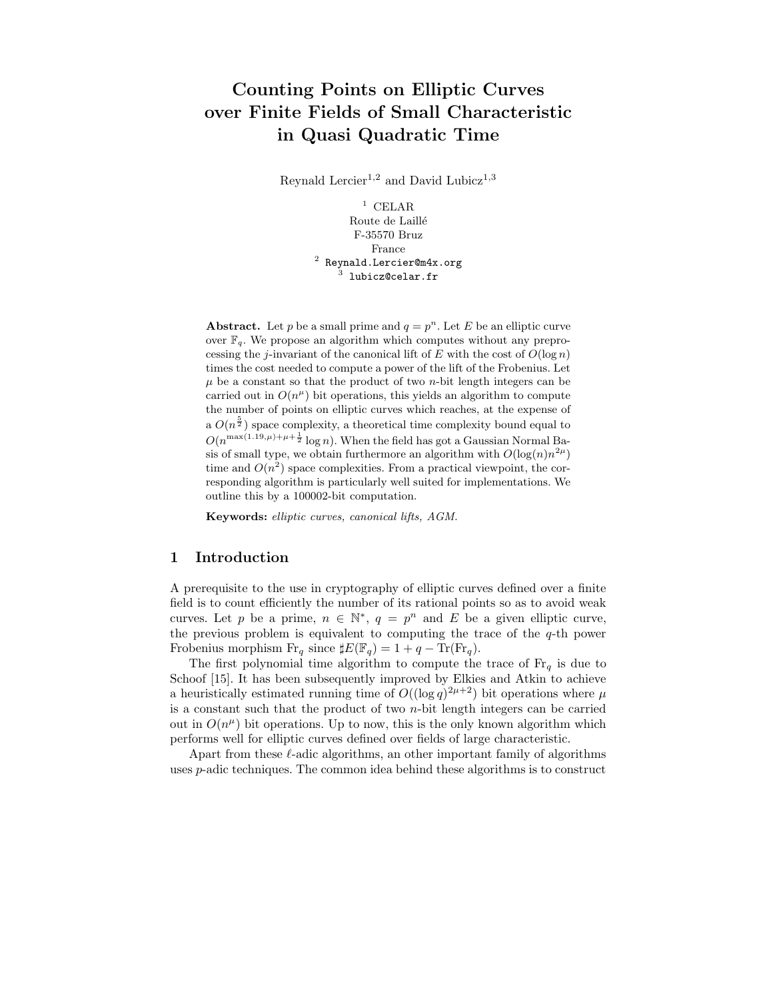# Counting Points on Elliptic Curves over Finite Fields of Small Characteristic in Quasi Quadratic Time

Reynald Lercier<sup>1,2</sup> and David Lubicz<sup>1,3</sup>

 $1$  CELAR Route de Laillé F-35570 Bruz France  $^2$  Reynald.Lercier@m4x.org<br> $^3$  lubicz@celar.fr

Abstract. Let p be a small prime and  $q = p^n$ . Let E be an elliptic curve over  $\mathbb{F}_q$ . We propose an algorithm which computes without any preprocessing the j-invariant of the canonical lift of  $E$  with the cost of  $O(\log n)$ times the cost needed to compute a power of the lift of the Frobenius. Let  $\mu$  be a constant so that the product of two *n*-bit length integers can be carried out in  $O(n^{\mu})$  bit operations, this yields an algorithm to compute the number of points on elliptic curves which reaches, at the expense of a  $O(n^{\frac{5}{2}})$  space complexity, a theoretical time complexity bound equal to  $O(n^{\max(1.19,\mu)+\mu+\frac{1}{2}}\log n)$ . When the field has got a Gaussian Normal Basis of small type, we obtain furthermore an algorithm with  $O(\log(n)n^{2\mu})$ time and  $O(n^2)$  space complexities. From a practical viewpoint, the corresponding algorithm is particularly well suited for implementations. We outline this by a 100002-bit computation.

Keywords: elliptic curves, canonical lifts, AGM.

# 1 Introduction

A prerequisite to the use in cryptography of elliptic curves defined over a finite field is to count efficiently the number of its rational points so as to avoid weak curves. Let p be a prime,  $n \in \mathbb{N}^*$ ,  $q = p^n$  and E be a given elliptic curve, the previous problem is equivalent to computing the trace of the  $q$ -th power Frobenius morphism  $\text{Fr}_q$  since  $\sharp E(\mathbb{F}_q) = 1 + q - \text{Tr}(\text{Fr}_q)$ .

The first polynomial time algorithm to compute the trace of  $\mathrm{Fr}_q$  is due to Schoof [15]. It has been subsequently improved by Elkies and Atkin to achieve a heuristically estimated running time of  $O((\log q)^{2\mu+2})$  bit operations where  $\mu$ is a constant such that the product of two  $n$ -bit length integers can be carried out in  $O(n^{\mu})$  bit operations. Up to now, this is the only known algorithm which performs well for elliptic curves defined over fields of large characteristic.

Apart from these  $\ell$ -adic algorithms, an other important family of algorithms uses p-adic techniques. The common idea behind these algorithms is to construct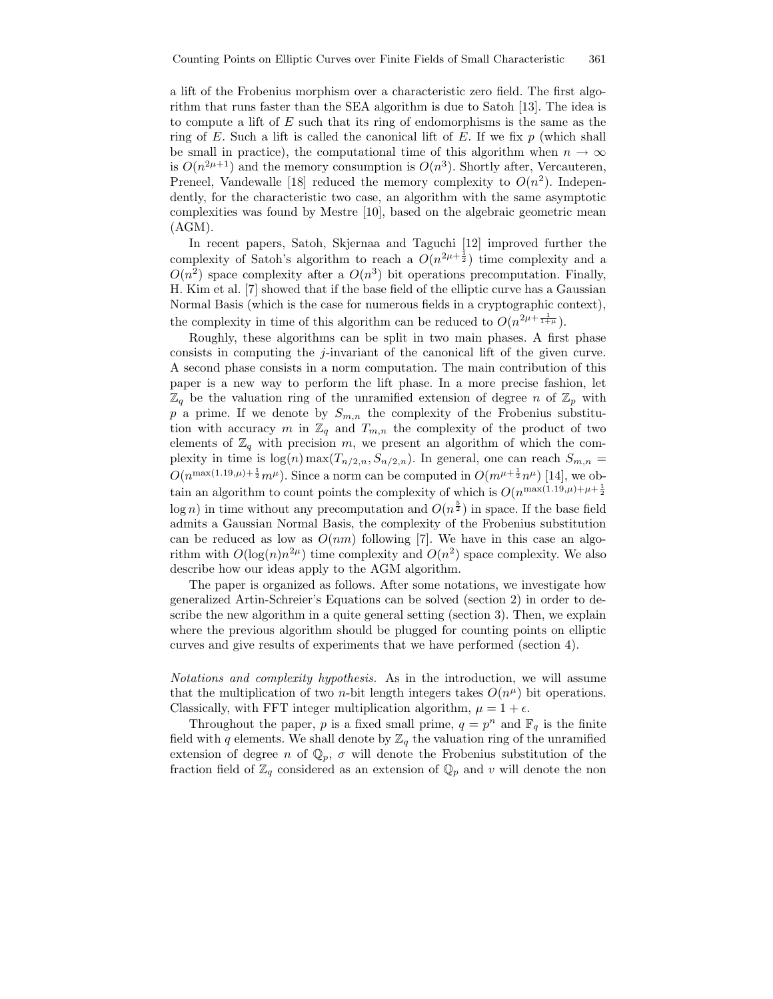a lift of the Frobenius morphism over a characteristic zero field. The first algorithm that runs faster than the SEA algorithm is due to Satoh [13]. The idea is to compute a lift of E such that its ring of endomorphisms is the same as the ring of E. Such a lift is called the canonical lift of E. If we fix  $p$  (which shall be small in practice), the computational time of this algorithm when  $n \to \infty$ is  $O(n^{2\mu+1})$  and the memory consumption is  $O(n^3)$ . Shortly after, Vercauteren, Preneel, Vandewalle [18] reduced the memory complexity to  $O(n^2)$ . Independently, for the characteristic two case, an algorithm with the same asymptotic complexities was found by Mestre [10], based on the algebraic geometric mean  $(AGM).$ 

In recent papers, Satoh, Skjernaa and Taguchi [12] improved further the complexity of Satoh's algorithm to reach a  $O(n^{2\mu+\frac{1}{2}})$  time complexity and a  $O(n^2)$  space complexity after a  $O(n^3)$  bit operations precomputation. Finally, H. Kim et al. [7] showed that if the base field of the elliptic curve has a Gaussian Normal Basis (which is the case for numerous fields in a cryptographic context), the complexity in time of this algorithm can be reduced to  $O(n^{2\mu + \frac{1}{1+\mu}})$ .

Roughly, these algorithms can be split in two main phases. A first phase consists in computing the  $j$ -invariant of the canonical lift of the given curve. A second phase consists in a norm computation. The main contribution of this paper is a new way to perform the lift phase. In a more precise fashion, let  $\mathbb{Z}_q$  be the valuation ring of the unramified extension of degree n of  $\mathbb{Z}_p$  with p a prime. If we denote by  $S_{m,n}$  the complexity of the Frobenius substitution with accuracy m in  $\mathbb{Z}_q$  and  $T_{m,n}$  the complexity of the product of two elements of  $\mathbb{Z}_q$  with precision m, we present an algorithm of which the complexity in time is  $log(n) max(T_{n/2,n}, S_{n/2,n})$ . In general, one can reach  $S_{m,n}$  =  $O(n^{\max(1.19,\mu)+\frac{1}{2}}m^{\mu})$ . Since a norm can be computed in  $O(m^{\mu+\frac{1}{2}}n^{\mu})$  [14], we obtain an algorithm to count points the complexity of which is  $O(n^{\max(1.19,\mu)+\mu+\frac{1}{2}})$  $log n)$  in time without any precomputation and  $O(n^{\frac{5}{2}})$  in space. If the base field admits a Gaussian Normal Basis, the complexity of the Frobenius substitution can be reduced as low as  $O(nm)$  following [7]. We have in this case an algorithm with  $O(\log(n)n^{2\mu})$  time complexity and  $O(n^2)$  space complexity. We also describe how our ideas apply to the AGM algorithm.

The paper is organized as follows. After some notations, we investigate how generalized Artin-Schreier's Equations can be solved (section 2) in order to describe the new algorithm in a quite general setting (section 3). Then, we explain where the previous algorithm should be plugged for counting points on elliptic curves and give results of experiments that we have performed (section 4).

Notations and complexity hypothesis. As in the introduction, we will assume that the multiplication of two *n*-bit length integers takes  $O(n^{\mu})$  bit operations. Classically, with FFT integer multiplication algorithm,  $\mu = 1 + \epsilon$ .

Throughout the paper, p is a fixed small prime,  $q = p^n$  and  $\mathbb{F}_q$  is the finite field with q elements. We shall denote by  $\mathbb{Z}_q$  the valuation ring of the unramified extension of degree n of  $\mathbb{Q}_p$ ,  $\sigma$  will denote the Frobenius substitution of the fraction field of  $\mathbb{Z}_q$  considered as an extension of  $\mathbb{Q}_p$  and v will denote the non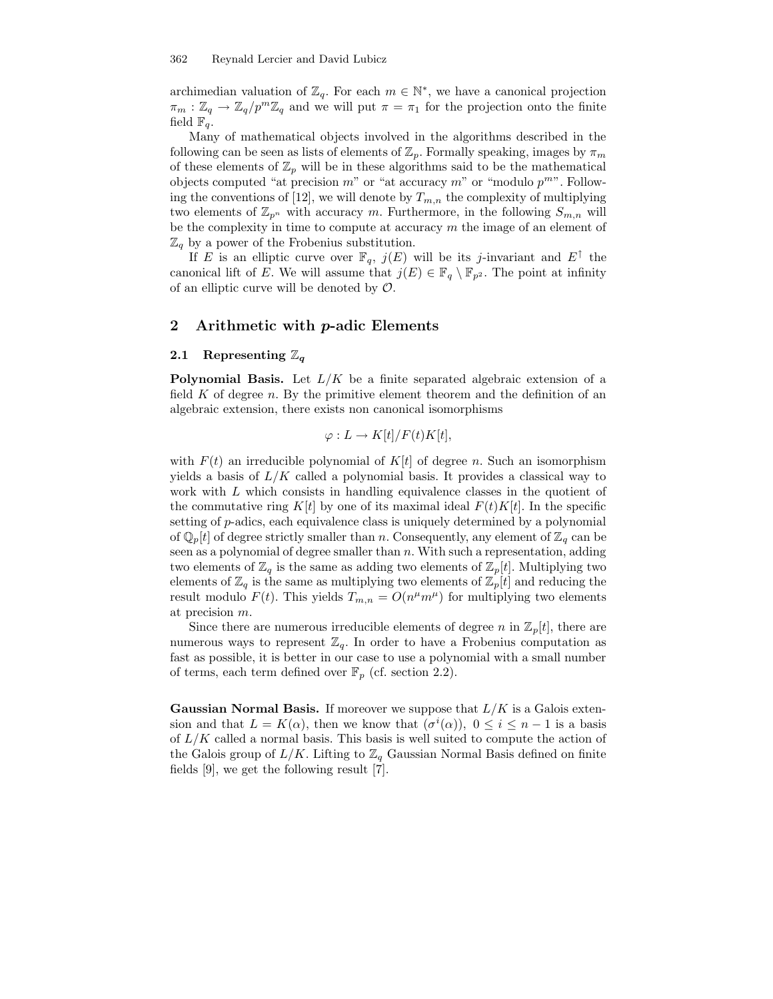archimedian valuation of  $\mathbb{Z}_q$ . For each  $m \in \mathbb{N}^*$ , we have a canonical projection  $\pi_m : \mathbb{Z}_q \to \mathbb{Z}_q/p^m \mathbb{Z}_q$  and we will put  $\pi = \pi_1$  for the projection onto the finite field  $\mathbb{F}_q$ .

Many of mathematical objects involved in the algorithms described in the following can be seen as lists of elements of  $\mathbb{Z}_p$ . Formally speaking, images by  $\pi_m$ of these elements of  $\mathbb{Z}_p$  will be in these algorithms said to be the mathematical objects computed "at precision  $m$ " or "at accuracy  $m$ " or "modulo  $p^{m}$ ". Following the conventions of [12], we will denote by  $T_{m,n}$  the complexity of multiplying two elements of  $\mathbb{Z}_{p^n}$  with accuracy m. Furthermore, in the following  $S_{m,n}$  will be the complexity in time to compute at accuracy  $m$  the image of an element of  $\mathbb{Z}_q$  by a power of the Frobenius substitution.

If E is an elliptic curve over  $\mathbb{F}_q$ ,  $j(E)$  will be its j-invariant and  $E^{\uparrow}$  the canonical lift of E. We will assume that  $j(E) \in \mathbb{F}_q \setminus \mathbb{F}_{p^2}$ . The point at infinity of an elliptic curve will be denoted by  $\mathcal{O}$ .

## 2 Arithmetic with p-adic Elements

#### 2.1 Representing  $\mathbb{Z}_q$

**Polynomial Basis.** Let  $L/K$  be a finite separated algebraic extension of a field  $K$  of degree  $n$ . By the primitive element theorem and the definition of an algebraic extension, there exists non canonical isomorphisms

$$
\varphi: L \to K[t]/F(t)K[t],
$$

with  $F(t)$  an irreducible polynomial of  $K[t]$  of degree n. Such an isomorphism yields a basis of  $L/K$  called a polynomial basis. It provides a classical way to work with L which consists in handling equivalence classes in the quotient of the commutative ring K[t] by one of its maximal ideal  $F(t)K[t]$ . In the specific setting of p-adics, each equivalence class is uniquely determined by a polynomial of  $\mathbb{Q}_p[t]$  of degree strictly smaller than n. Consequently, any element of  $\mathbb{Z}_q$  can be seen as a polynomial of degree smaller than n. With such a representation, adding two elements of  $\mathbb{Z}_q$  is the same as adding two elements of  $\mathbb{Z}_p[t]$ . Multiplying two elements of  $\mathbb{Z}_q$  is the same as multiplying two elements of  $\mathbb{Z}_p[t]$  and reducing the result modulo  $F(t)$ . This yields  $T_{m,n} = O(n^{\mu}m^{\mu})$  for multiplying two elements at precision m.

Since there are numerous irreducible elements of degree n in  $\mathbb{Z}_p[t]$ , there are numerous ways to represent  $\mathbb{Z}_q$ . In order to have a Frobenius computation as fast as possible, it is better in our case to use a polynomial with a small number of terms, each term defined over  $\mathbb{F}_p$  (cf. section 2.2).

**Gaussian Normal Basis.** If moreover we suppose that  $L/K$  is a Galois extension and that  $L = K(\alpha)$ , then we know that  $(\sigma^i(\alpha))$ ,  $0 \le i \le n-1$  is a basis of  $L/K$  called a normal basis. This basis is well suited to compute the action of the Galois group of  $L/K$ . Lifting to  $\mathbb{Z}_q$  Gaussian Normal Basis defined on finite fields [9], we get the following result [7].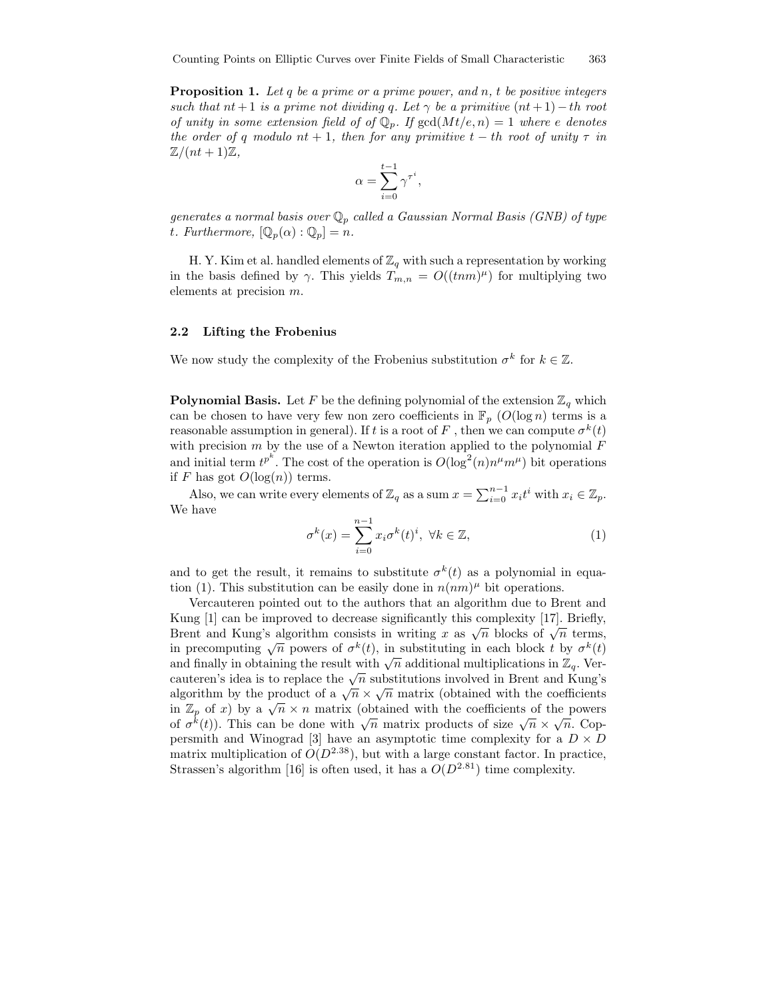**Proposition 1.** Let q be a prime or a prime power, and n, t be positive integers such that nt + 1 is a prime not dividing q. Let  $\gamma$  be a primitive  $(nt + 1) - th$  root of unity in some extension field of of  $\mathbb{Q}_p$ . If  $gcd(Mt/e, n) = 1$  where e denotes the order of q modulo  $nt + 1$ , then for any primitive  $t - th$  root of unity  $\tau$  in  $\mathbb{Z}/(nt+1)\mathbb{Z},$ 

$$
\alpha = \sum_{i=0}^{t-1} \gamma^{\tau^i},
$$

generates a normal basis over  $\mathbb{Q}_p$  called a Gaussian Normal Basis (GNB) of type t. Furthermore,  $[\mathbb{Q}_p(\alpha):\mathbb{Q}_p]=n$ .

H. Y. Kim et al. handled elements of  $\mathbb{Z}_q$  with such a representation by working in the basis defined by  $\gamma$ . This yields  $T_{m,n} = O((tnm)^{\mu})$  for multiplying two elements at precision m.

#### 2.2 Lifting the Frobenius

We now study the complexity of the Frobenius substitution  $\sigma^k$  for  $k \in \mathbb{Z}$ .

**Polynomial Basis.** Let F be the defining polynomial of the extension  $\mathbb{Z}_q$  which can be chosen to have very few non zero coefficients in  $\mathbb{F}_p$  ( $O(\log n)$ ) terms is a reasonable assumption in general). If t is a root of F , then we can compute  $\sigma^k(t)$ with precision  $m$  by the use of a Newton iteration applied to the polynomial  $F$ and initial term  $t^{p^k}$ . The cost of the operation is  $O(\log^2(n)n^{\mu}m^{\mu})$  bit operations if F has got  $O(\log(n))$  terms.

Also, we can write every elements of  $\mathbb{Z}_q$  as a sum  $x = \sum_{i=0}^{n-1} x_i t^i$  with  $x_i \in \mathbb{Z}_p$ . We have

$$
\sigma^{k}(x) = \sum_{i=0}^{n-1} x_i \sigma^{k}(t)^{i}, \ \forall k \in \mathbb{Z},
$$
\n(1)

and to get the result, it remains to substitute  $\sigma^k(t)$  as a polynomial in equation (1). This substitution can be easily done in  $n(nm)$ <sup> $\mu$ </sup> bit operations.

Vercauteren pointed out to the authors that an algorithm due to Brent and Kung [1] can be improved to decrease significantly this complexity [17]. Briefly, Brent and Kung's algorithm consists in writing x as  $\sqrt{n}$  blocks of  $\sqrt{n}$  terms, in precomputing  $\sqrt{n}$  powers of  $\sigma^k(t)$ , in substituting in each block t by  $\sigma^k(t)$ and finally in obtaining the result with  $\sqrt{n}$  additional multiplications in  $\mathbb{Z}_q$ . Vercauteren's idea is to replace the  $\sqrt{n}$  substitutions involved in Brent and Kung's algorithm by the product of a  $\sqrt{n} \times \sqrt{n}$  matrix (obtained with the coefficients in  $\mathbb{Z}_p$  of x) by a  $\sqrt{n} \times n$  matrix (obtained with the coefficients of the powers of  $\sigma^k(t)$ ). This can be done with  $\sqrt{n}$  matrix products of size  $\sqrt{n} \times \sqrt{n}$ . Coppersmith and Winograd [3] have an asymptotic time complexity for a  $D \times D$ matrix multiplication of  $O(D^{2.38})$ , but with a large constant factor. In practice, Strassen's algorithm [16] is often used, it has a  $O(D^{2.81})$  time complexity.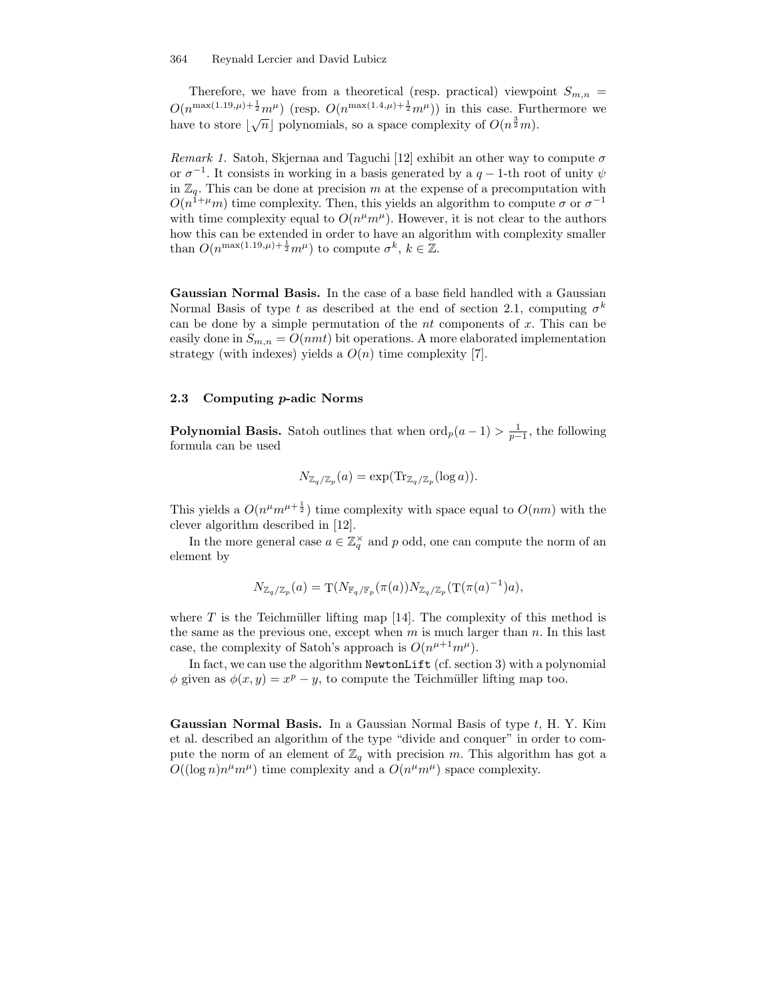Therefore, we have from a theoretical (resp. practical) viewpoint  $S_{m,n}$  =  $O(n^{\max(1.19,\mu)+\frac{1}{2}}m^{\mu})$  (resp.  $O(n^{\max(1.4,\mu)+\frac{1}{2}}m^{\mu})$ ) in this case. Furthermore we have to store  $\lfloor \sqrt{n} \rfloor$  polynomials, so a space complexity of  $O(n^{\frac{3}{2}}m)$ .

Remark 1. Satoh, Skjernaa and Taguchi [12] exhibit an other way to compute  $\sigma$ or  $\sigma^{-1}$ . It consists in working in a basis generated by a  $q-1$ -th root of unity  $\psi$ in  $\mathbb{Z}_q$ . This can be done at precision m at the expense of a precomputation with  $O(n^{1+\mu}m)$  time complexity. Then, this yields an algorithm to compute  $\sigma$  or  $\sigma^{-1}$ with time complexity equal to  $O(n^{\mu}m^{\mu})$ . However, it is not clear to the authors how this can be extended in order to have an algorithm with complexity smaller than  $O(n^{\max(1.19,\mu)+\frac{1}{2}}m^{\mu})$  to compute  $\sigma^{k}, k \in \mathbb{Z}$ .

Gaussian Normal Basis. In the case of a base field handled with a Gaussian Normal Basis of type t as described at the end of section 2.1, computing  $\sigma^k$ can be done by a simple permutation of the  $nt$  components of  $x$ . This can be easily done in  $S_{m,n} = O(nmt)$  bit operations. A more elaborated implementation strategy (with indexes) yields a  $O(n)$  time complexity [7].

### 2.3 Computing p-adic Norms

**Polynomial Basis.** Satoh outlines that when  $\text{ord}_p(a-1) > \frac{1}{p-1}$ , the following formula can be used

$$
N_{\mathbb{Z}_q/\mathbb{Z}_p}(a) = \exp(\mathrm{Tr}_{\mathbb{Z}_q/\mathbb{Z}_p}(\log a)).
$$

This yields a  $O(n^{\mu}m^{\mu+\frac{1}{2}})$  time complexity with space equal to  $O(nm)$  with the clever algorithm described in [12].

In the more general case  $a \in \mathbb{Z}_q^{\times}$  and p odd, one can compute the norm of an element by

$$
N_{\mathbb{Z}_q/\mathbb{Z}_p}(a) = \mathrm{T}(N_{\mathbb{F}_q/\mathbb{F}_p}(\pi(a))N_{\mathbb{Z}_q/\mathbb{Z}_p}(\mathrm{T}(\pi(a)^{-1})a),
$$

where  $T$  is the Teichmüller lifting map [14]. The complexity of this method is the same as the previous one, except when  $m$  is much larger than  $n$ . In this last case, the complexity of Satoh's approach is  $O(n^{\mu+1}m^{\mu})$ .

In fact, we can use the algorithm NewtonLift (cf. section 3) with a polynomial  $\phi$  given as  $\phi(x, y) = x^p - y$ , to compute the Teichmüller lifting map too.

Gaussian Normal Basis. In a Gaussian Normal Basis of type t, H. Y. Kim et al. described an algorithm of the type "divide and conquer" in order to compute the norm of an element of  $\mathbb{Z}_q$  with precision m. This algorithm has got a  $O((\log n)n^{\mu}m^{\mu})$  time complexity and a  $O(n^{\mu}m^{\mu})$  space complexity.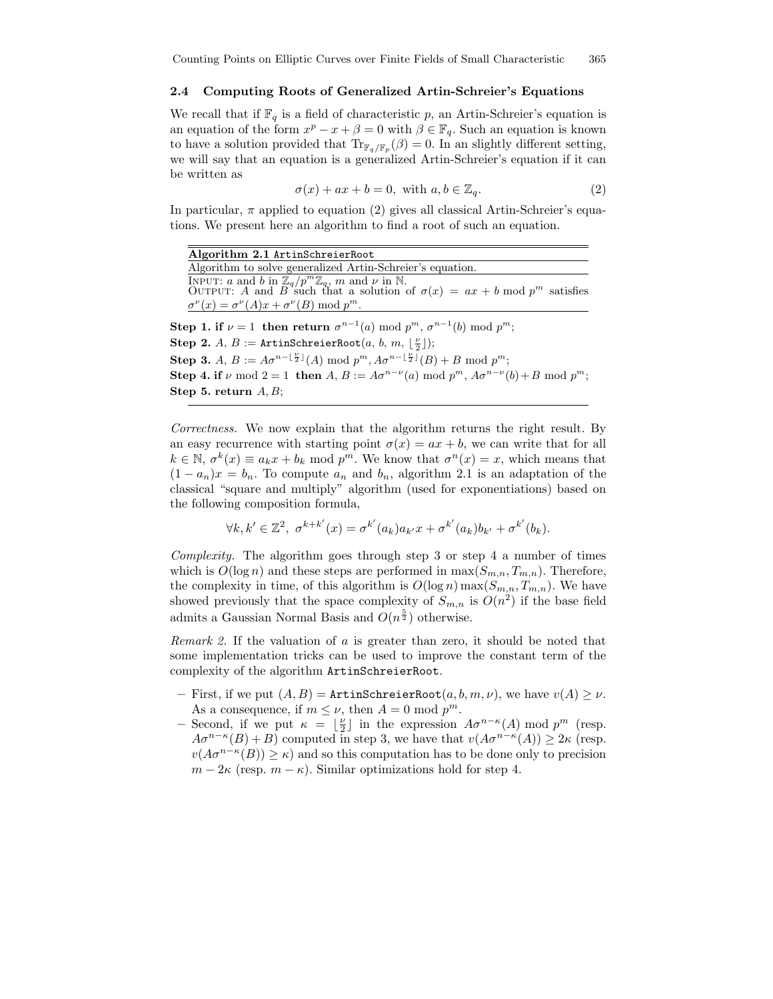### 2.4 Computing Roots of Generalized Artin-Schreier's Equations

We recall that if  $\mathbb{F}_q$  is a field of characteristic p, an Artin-Schreier's equation is an equation of the form  $x^p - x + \beta = 0$  with  $\beta \in \mathbb{F}_q$ . Such an equation is known to have a solution provided that  $\text{Tr}_{\mathbb{F}_q/\mathbb{F}_p}(\beta) = 0$ . In an slightly different setting, we will say that an equation is a generalized Artin-Schreier's equation if it can be written as

$$
\sigma(x) + ax + b = 0, \text{ with } a, b \in \mathbb{Z}_q. \tag{2}
$$

In particular,  $\pi$  applied to equation (2) gives all classical Artin-Schreier's equations. We present here an algorithm to find a root of such an equation.

| Algorithm 2.1 ArtinSchreierRoot                                                                                                                         |
|---------------------------------------------------------------------------------------------------------------------------------------------------------|
| Algorithm to solve generalized Artin-Schreier's equation.                                                                                               |
| INPUT: a and b in $\mathbb{Z}_q/p^m\mathbb{Z}_q$ , m and $\nu$ in N.<br>OUTPUT: A and B such that a solution of $\sigma(x) = ax + b \mod p^m$ satisfies |
| $\sigma^{\nu}(x) = \sigma^{\nu}(A)x + \sigma^{\nu}(B) \bmod p^m$ .                                                                                      |
| <b>Step 1. if</b> $\nu = 1$ then return $\sigma^{n-1}(a) \mod p^m$ , $\sigma^{n-1}(b) \mod p^m$ ;                                                       |
| <b>Step 2.</b> A, $B :=$ ArtinSchreierRoot $(a, b, m, \lfloor \frac{\nu}{2} \rfloor);$                                                                  |
| <b>Step 3.</b> A, $B := A\sigma^{n-\lfloor \frac{\nu}{2} \rfloor}(A) \bmod p^m$ , $A\sigma^{n-\lfloor \frac{\nu}{2} \rfloor}(B) + B \bmod p^m$ ;        |
| <b>Step 4. if</b> $\nu$ mod $2 = 1$ then $A, B := A\sigma^{n-\nu}(a) \mod p^m$ , $A\sigma^{n-\nu}(b) + B \mod p^m$ ;                                    |
| Step 5. return $A, B$ ;                                                                                                                                 |

Correctness. We now explain that the algorithm returns the right result. By an easy recurrence with starting point  $\sigma(x) = ax + b$ , we can write that for all  $k \in \mathbb{N}, \sigma^k(x) \equiv a_k x + b_k \mod p^m$ . We know that  $\sigma^n(x) = x$ , which means that  $(1 - a_n)x = b_n$ . To compute  $a_n$  and  $b_n$ , algorithm 2.1 is an adaptation of the classical "square and multiply" algorithm (used for exponentiations) based on the following composition formula,

$$
\forall k, k' \in \mathbb{Z}^2, \ \sigma^{k+k'}(x) = \sigma^{k'}(a_k)a_{k'}x + \sigma^{k'}(a_k)b_{k'} + \sigma^{k'}(b_k).
$$

Complexity. The algorithm goes through step 3 or step 4 a number of times which is  $O(\log n)$  and these steps are performed in  $\max(S_{m,n}, T_{m,n})$ . Therefore, the complexity in time, of this algorithm is  $O(\log n) \max(S_{m,n}, T_{m,n})$ . We have showed previously that the space complexity of  $S_{m,n}$  is  $O(n^2)$  if the base field admits a Gaussian Normal Basis and  $O(n^{\frac{5}{2}})$  otherwise.

Remark 2. If the valuation of a is greater than zero, it should be noted that some implementation tricks can be used to improve the constant term of the complexity of the algorithm ArtinSchreierRoot.

- First, if we put  $(A, B)$  = ArtinSchreierRoot $(a, b, m, \nu)$ , we have  $v(A) \geq \nu$ . As a consequence, if  $m \leq \nu$ , then  $A = 0 \mod p^m$ .
- Second, if we put  $\kappa = \lfloor \frac{\nu}{2} \rfloor$  in the expression  $A\sigma^{n-\kappa}(A) \mod p^m$  (resp.  $A\sigma^{n-\kappa}(B) + B$ ) computed in step 3, we have that  $v(A\sigma^{n-\kappa}(A)) \geq 2\kappa$  (resp.  $v(A\sigma^{n-\kappa}(B)) \geq \kappa$  and so this computation has to be done only to precision  $m - 2\kappa$  (resp.  $m - \kappa$ ). Similar optimizations hold for step 4.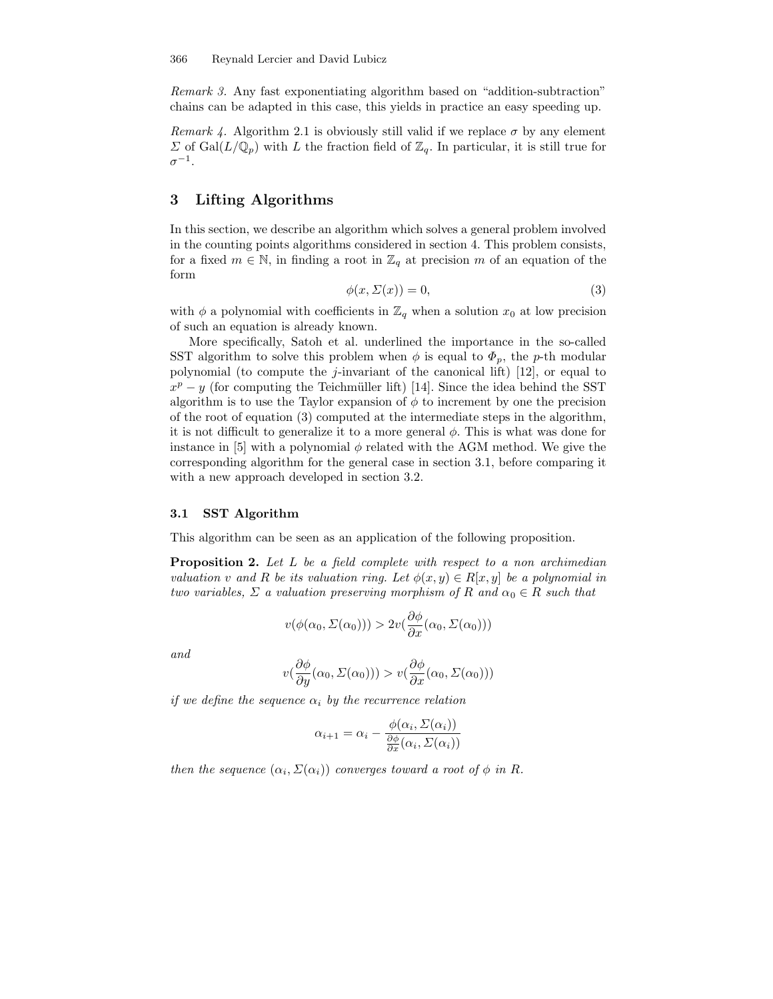Remark 3. Any fast exponentiating algorithm based on "addition-subtraction" chains can be adapted in this case, this yields in practice an easy speeding up.

Remark 4. Algorithm 2.1 is obviously still valid if we replace  $\sigma$  by any element  $\Sigma$  of Gal $(L/\mathbb{Q}_p)$  with L the fraction field of  $\mathbb{Z}_q$ . In particular, it is still true for  $\sigma^{-1}.$ 

# 3 Lifting Algorithms

In this section, we describe an algorithm which solves a general problem involved in the counting points algorithms considered in section 4. This problem consists, for a fixed  $m \in \mathbb{N}$ , in finding a root in  $\mathbb{Z}_q$  at precision m of an equation of the form

$$
\phi(x, \Sigma(x)) = 0,\t\t(3)
$$

with  $\phi$  a polynomial with coefficients in  $\mathbb{Z}_q$  when a solution  $x_0$  at low precision of such an equation is already known.

More specifically, Satoh et al. underlined the importance in the so-called SST algorithm to solve this problem when  $\phi$  is equal to  $\Phi_p$ , the p-th modular polynomial (to compute the *j*-invariant of the canonical lift) [12], or equal to  $x^p - y$  (for computing the Teichmüller lift) [14]. Since the idea behind the SST algorithm is to use the Taylor expansion of  $\phi$  to increment by one the precision of the root of equation (3) computed at the intermediate steps in the algorithm, it is not difficult to generalize it to a more general  $\phi$ . This is what was done for instance in [5] with a polynomial  $\phi$  related with the AGM method. We give the corresponding algorithm for the general case in section 3.1, before comparing it with a new approach developed in section 3.2.

## 3.1 SST Algorithm

This algorithm can be seen as an application of the following proposition.

**Proposition 2.** Let L be a field complete with respect to a non archimedian valuation v and R be its valuation ring. Let  $\phi(x, y) \in R[x, y]$  be a polynomial in two variables,  $\Sigma$  a valuation preserving morphism of R and  $\alpha_0 \in R$  such that

$$
v(\phi(\alpha_0, \Sigma(\alpha_0))) > 2v(\frac{\partial \phi}{\partial x}(\alpha_0, \Sigma(\alpha_0)))
$$

and

$$
v(\frac{\partial \phi}{\partial y}(\alpha_0, \Sigma(\alpha_0))) > v(\frac{\partial \phi}{\partial x}(\alpha_0, \Sigma(\alpha_0)))
$$

if we define the sequence  $\alpha_i$  by the recurrence relation

$$
\alpha_{i+1} = \alpha_i - \frac{\phi(\alpha_i, \Sigma(\alpha_i))}{\frac{\partial \phi}{\partial x}(\alpha_i, \Sigma(\alpha_i))}
$$

then the sequence  $(\alpha_i, \Sigma(\alpha_i))$  converges toward a root of  $\phi$  in R.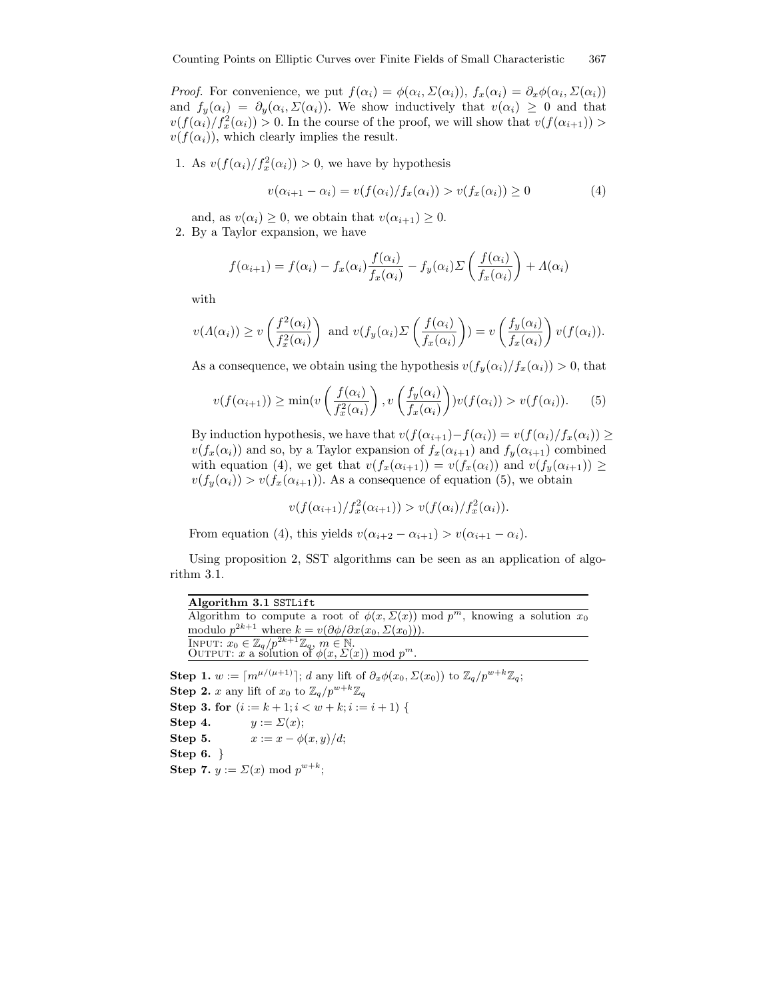*Proof.* For convenience, we put  $f(\alpha_i) = \phi(\alpha_i, \Sigma(\alpha_i))$ ,  $f_x(\alpha_i) = \partial_x \phi(\alpha_i, \Sigma(\alpha_i))$ and  $f_y(\alpha_i) = \partial_y(\alpha_i, \Sigma(\alpha_i))$ . We show inductively that  $v(\alpha_i) \geq 0$  and that  $v(f(\alpha_i)/f_x^2(\alpha_i)) > 0$ . In the course of the proof, we will show that  $v(f(\alpha_{i+1})) > 0$ .  $v(f(\alpha_i))$ , which clearly implies the result.

1. As  $v(f(\alpha_i)/f_x^2(\alpha_i)) > 0$ , we have by hypothesis

$$
v(\alpha_{i+1} - \alpha_i) = v(f(\alpha_i)/f_x(\alpha_i)) > v(f_x(\alpha_i)) \ge 0
$$
\n<sup>(4)</sup>

and, as  $v(\alpha_i) \geq 0$ , we obtain that  $v(\alpha_{i+1}) \geq 0$ . 2. By a Taylor expansion, we have

$$
f(\alpha_{i+1}) = f(\alpha_i) - f_x(\alpha_i) \frac{f(\alpha_i)}{f_x(\alpha_i)} - f_y(\alpha_i) \Sigma \left( \frac{f(\alpha_i)}{f_x(\alpha_i)} \right) + \Lambda(\alpha_i)
$$

with

$$
v(\Lambda(\alpha_i)) \ge v\left(\frac{f^2(\alpha_i)}{f_x^2(\alpha_i)}\right) \text{ and } v(f_y(\alpha_i)) \sum \left(\frac{f(\alpha_i)}{f_x(\alpha_i)}\right) = v\left(\frac{f_y(\alpha_i)}{f_x(\alpha_i)}\right) v(f(\alpha_i)).
$$

As a consequence, we obtain using the hypothesis  $v(f_y(\alpha_i)/f_x(\alpha_i)) > 0$ , that

$$
v(f(\alpha_{i+1})) \ge \min(v\left(\frac{f(\alpha_i)}{f_x^2(\alpha_i)}\right), v\left(\frac{f_y(\alpha_i)}{f_x(\alpha_i)}\right))v(f(\alpha_i)) > v(f(\alpha_i)).
$$
 (5)

By induction hypothesis, we have that  $v(f(\alpha_{i+1})-f(\alpha_i)) = v(f(\alpha_i)/f_x(\alpha_i)) \ge$  $v(f_x(\alpha_i))$  and so, by a Taylor expansion of  $f_x(\alpha_{i+1})$  and  $f_y(\alpha_{i+1})$  combined with equation (4), we get that  $v(f_x(\alpha_{i+1})) = v(f_x(\alpha_i))$  and  $v(f_y(\alpha_{i+1})) \ge$  $v(f_y(\alpha_i)) > v(f_x(\alpha_{i+1}))$ . As a consequence of equation (5), we obtain

$$
v(f(\alpha_{i+1})/f_x^2(\alpha_{i+1})) > v(f(\alpha_i)/f_x^2(\alpha_i)).
$$

From equation (4), this yields  $v(\alpha_{i+2} - \alpha_{i+1}) > v(\alpha_{i+1} - \alpha_i)$ .

Using proposition 2, SST algorithms can be seen as an application of algorithm 3.1.

| Algorithm 3.1 SSTLift                                                                                                                   |
|-----------------------------------------------------------------------------------------------------------------------------------------|
| Algorithm to compute a root of $\phi(x, \Sigma(x))$ mod $p^m$ , knowing a solution $x_0$                                                |
| modulo $p^{2k+1}$ where $k = v(\partial \phi / \partial x(x_0, \Sigma(x_0)))$ .                                                         |
| INPUT: $x_0 \in \mathbb{Z}_q/p^{2k+1}\mathbb{Z}_q$ , $m \in \mathbb{N}$ .<br>OUTPUT: $x$ a solution of $\phi(x, \Sigma(x))$ mod $p^m$ . |
|                                                                                                                                         |

Step 1.  $w := [m^{\mu/(\mu+1)}]; d$  any lift of  $\partial_x \phi(x_0, \Sigma(x_0))$  to  $\mathbb{Z}_q/p^{w+k}\mathbb{Z}_q;$ **Step 2.** x any lift of  $x_0$  to  $\mathbb{Z}_q/p^{w+k}\mathbb{Z}_q$ Step 3. for  $(i := k + 1; i < w + k; i := i + 1)$  { Step 4.  $y := \Sigma(x);$ Step 5.  $x := x - \phi(x, y)/d;$ Step 6. } Step 7.  $y := \Sigma(x) \mod p^{w+k}$ ;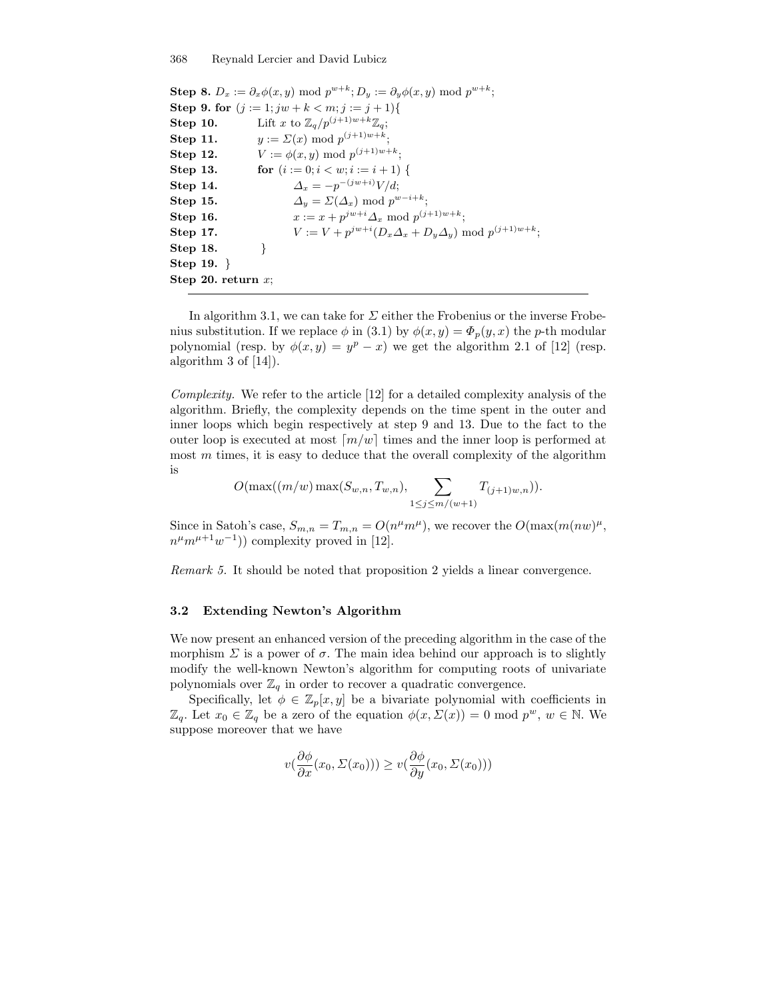**Step 8.**  $D_x := \partial_x \phi(x, y) \text{ mod } p^{w+k}; D_y := \partial_y \phi(x, y) \text{ mod } p^{w+k};$ Step 9. for  $(j := 1; jw + k < m; j := j + 1)$ { **Step 10.** Lift x to  $\mathbb{Z}_q/p^{(j+1)w+k}\mathbb{Z}_q$ ; **Step 11.**  $y := \Sigma(x) \bmod p^{(j+1)w+k};$ **Step 12.**  $V := \phi(x, y) \bmod p^{(j+1)w+k};$ **Step 13.** for  $(i := 0; i < w; i := i + 1)$  { **Step 14.**  $\Delta_x = -p^{-(jw+i)}V/d;$ **Step 15.**  $\Delta_y = \Sigma(\Delta_x) \text{ mod } p^{w-i+k};$ **Step 16.**  $x := x + p^{jw+i} \Delta_x \text{ mod } p^{(j+1)w+k};$ **Step 17.**  $V := V + p^{jw+i} (D_x \Delta_x + D_y \Delta_y) \text{ mod } p^{(j+1)w+k};$ Step 18. Step 19. } Step 20. return  $x$ ;

In algorithm 3.1, we can take for  $\Sigma$  either the Frobenius or the inverse Frobenius substitution. If we replace  $\phi$  in (3.1) by  $\phi(x, y) = \Phi_p(y, x)$  the p-th modular polynomial (resp. by  $\phi(x, y) = y^p - x$ ) we get the algorithm 2.1 of [12] (resp. algorithm 3 of [14]).

Complexity. We refer to the article [12] for a detailed complexity analysis of the algorithm. Briefly, the complexity depends on the time spent in the outer and inner loops which begin respectively at step 9 and 13. Due to the fact to the outer loop is executed at most  $\lceil m/w \rceil$  times and the inner loop is performed at most  $m$  times, it is easy to deduce that the overall complexity of the algorithm is

$$
O(\max((m/w) \max(S_{w,n}, T_{w,n}), \sum_{1 \leq j \leq m/(w+1)} T_{(j+1)w,n})).
$$

Since in Satoh's case,  $S_{m,n} = T_{m,n} = O(n^{\mu}m^{\mu})$ , we recover the  $O(\max(m(nw)^{\mu}))$ ,  $n^{\mu}m^{\mu+1}w^{-1}$ ) complexity proved in [12].

Remark 5. It should be noted that proposition 2 yields a linear convergence.

## 3.2 Extending Newton's Algorithm

We now present an enhanced version of the preceding algorithm in the case of the morphism  $\Sigma$  is a power of  $\sigma$ . The main idea behind our approach is to slightly modify the well-known Newton's algorithm for computing roots of univariate polynomials over  $\mathbb{Z}_q$  in order to recover a quadratic convergence.

Specifically, let  $\phi \in \mathbb{Z}_p[x, y]$  be a bivariate polynomial with coefficients in  $\mathbb{Z}_q$ . Let  $x_0 \in \mathbb{Z}_q$  be a zero of the equation  $\phi(x, \Sigma(x)) = 0 \text{ mod } p^w$ ,  $w \in \mathbb{N}$ . We suppose moreover that we have

$$
v(\frac{\partial \phi}{\partial x}(x_0, \Sigma(x_0))) \ge v(\frac{\partial \phi}{\partial y}(x_0, \Sigma(x_0)))
$$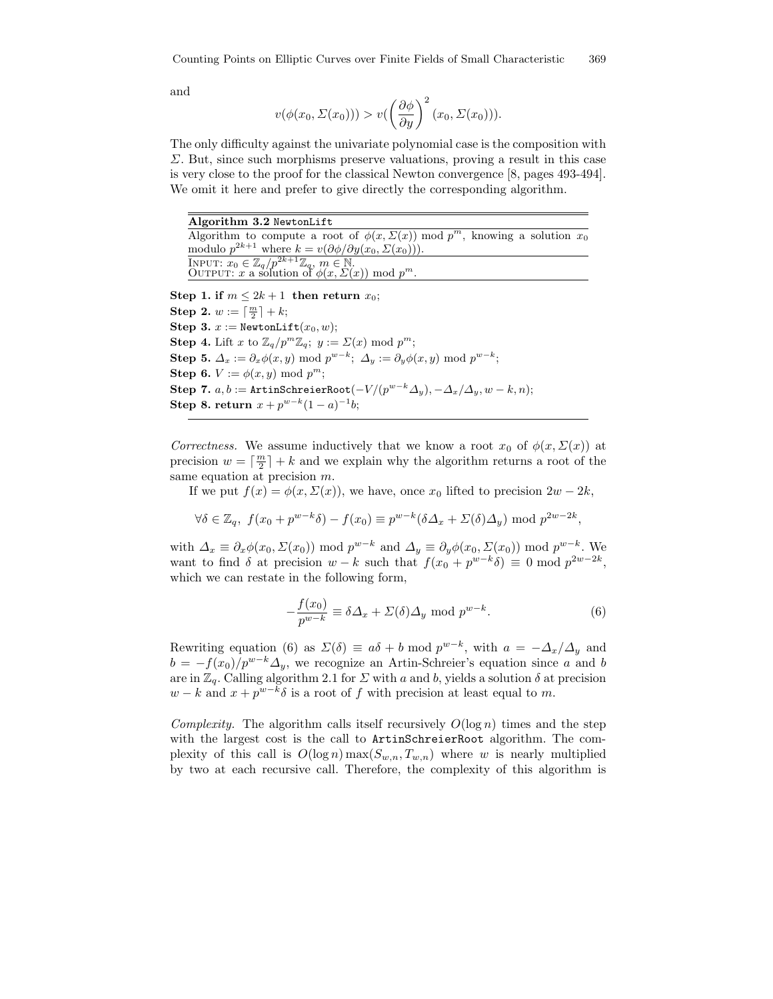and

$$
v(\phi(x_0, \Sigma(x_0))) > v\left(\frac{\partial \phi}{\partial y}\right)^2 (x_0, \Sigma(x_0))).
$$

The only difficulty against the univariate polynomial case is the composition with Σ. But, since such morphisms preserve valuations, proving a result in this case is very close to the proof for the classical Newton convergence [8, pages 493-494]. We omit it here and prefer to give directly the corresponding algorithm.

Algorithm 3.2 NewtonLift Algorithm to compute a root of  $\phi(x, \Sigma(x)) \mod p^m$ , knowing a solution  $x_0$ modulo  $p^{2k+1}$  where  $k = v(\partial \phi / \partial y(x_0, \Sigma(x_0)))$ . INPUT:  $x_0 \in \mathbb{Z}_q/p^{2k+1}\mathbb{Z}_q$ ,  $m \in \mathbb{N}$ .<br>OUTPUT:  $x$  a solution of  $\phi(x, \Sigma(x))$  mod  $p^m$ . Step 1. if  $m \leq 2k+1$  then return  $x_0$ ; Step 2.  $w := \lceil \frac{m}{2} \rceil + k;$ Step 3.  $x :=$  NewtonLift $(x_0, w)$ ; **Step 4.** Lift x to  $\mathbb{Z}_q/p^m\mathbb{Z}_q$ ;  $y := \Sigma(x) \mod p^m$ ; **Step 5.**  $\Delta_x := \partial_x \phi(x, y) \text{ mod } p^{w-k}; \ \Delta_y := \partial_y \phi(x, y) \text{ mod } p^{w-k};$ Step 6.  $V := \phi(x, y) \text{ mod } p^m$ ;  $\textbf{Step 7.}\; a, b := \texttt{ArtinSchreierRoot}(-V/(p^{w-k} \varDelta_y), -\varDelta_x/\varDelta_y, w-k,n);$ Step 8. return  $x + p^{w-k}(1 - a)^{-1}b$ ;

Correctness. We assume inductively that we know a root  $x_0$  of  $\phi(x, \Sigma(x))$  at precision  $w = \lceil \frac{m}{2} \rceil + k$  and we explain why the algorithm returns a root of the same equation at precision  $m$ .

If we put  $f(x) = \phi(x, \Sigma(x))$ , we have, once  $x_0$  lifted to precision  $2w - 2k$ ,

$$
\forall \delta \in \mathbb{Z}_q, \ f(x_0 + p^{w-k}\delta) - f(x_0) \equiv p^{w-k}(\delta \Delta_x + \Sigma(\delta) \Delta_y) \text{ mod } p^{2w-2k},
$$

with  $\Delta_x \equiv \partial_x \phi(x_0, \Sigma(x_0)) \mod p^{w-k}$  and  $\Delta_y \equiv \partial_y \phi(x_0, \Sigma(x_0)) \mod p^{w-k}$ . We want to find  $\delta$  at precision  $w - k$  such that  $f(x_0 + p^{w-k}\delta) \equiv 0 \mod p^{2w-2k}$ , which we can restate in the following form,

$$
-\frac{f(x_0)}{p^{w-k}} \equiv \delta \Delta_x + \Sigma(\delta) \Delta_y \text{ mod } p^{w-k}.
$$
 (6)

Rewriting equation (6) as  $\Sigma(\delta) \equiv a\delta + b \mod p^{w-k}$ , with  $a = -\Delta_x/\Delta_y$  and  $b = -f(x_0)/p^{w-k}\Delta_y$ , we recognize an Artin-Schreier's equation since a and b are in  $\mathbb{Z}_q$ . Calling algorithm 2.1 for  $\Sigma$  with a and b, yields a solution  $\delta$  at precision  $w - k$  and  $x + p^{w-k} \delta$  is a root of f with precision at least equal to m.

Complexity. The algorithm calls itself recursively  $O(\log n)$  times and the step with the largest cost is the call to ArtinSchreierRoot algorithm. The complexity of this call is  $O(\log n) \max(S_{w,n}, T_{w,n})$  where w is nearly multiplied by two at each recursive call. Therefore, the complexity of this algorithm is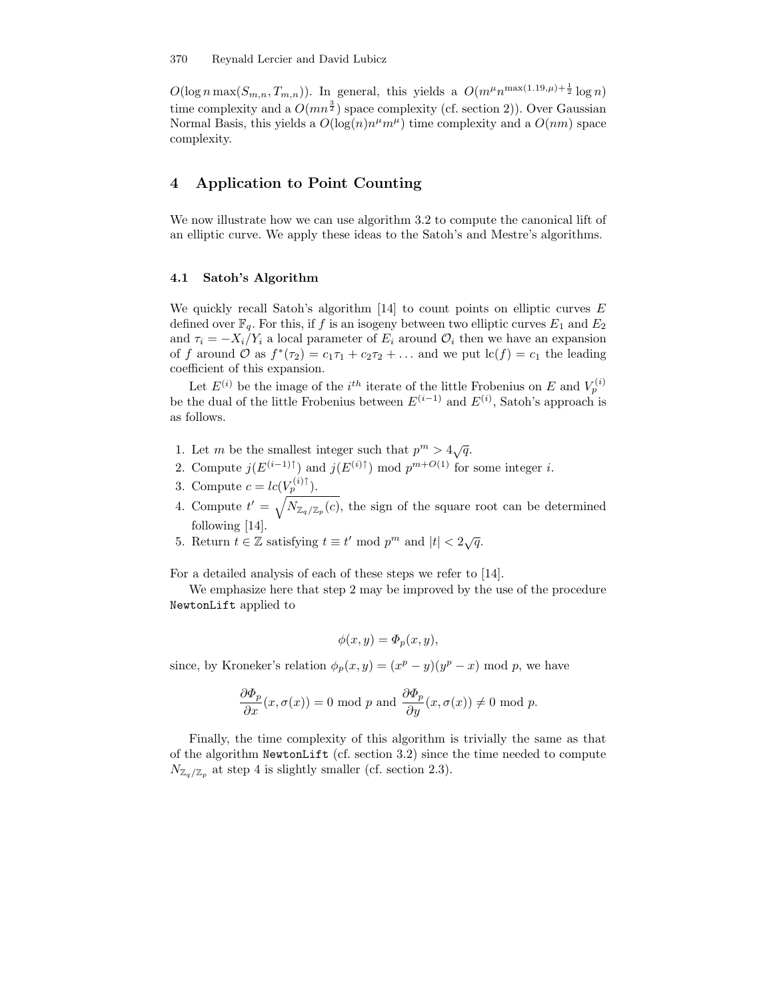$O(\log n \max(S_{m,n}, T_{m,n}))$ . In general, this yields a  $O(m^{\mu}n^{\max(1.19,\mu)+\frac{1}{2}} \log n)$ time complexity and a  $O(mn^{\frac{3}{2}})$  space complexity (cf. section 2)). Over Gaussian Normal Basis, this yields a  $O(\log(n)n^{\mu}m^{\mu})$  time complexity and a  $O(nm)$  space complexity.

# 4 Application to Point Counting

We now illustrate how we can use algorithm 3.2 to compute the canonical lift of an elliptic curve. We apply these ideas to the Satoh's and Mestre's algorithms.

## 4.1 Satoh's Algorithm

We quickly recall Satoh's algorithm  $[14]$  to count points on elliptic curves E defined over  $\mathbb{F}_q$ . For this, if f is an isogeny between two elliptic curves  $E_1$  and  $E_2$ and  $\tau_i = -X_i/Y_i$  a local parameter of  $E_i$  around  $\mathcal{O}_i$  then we have an expansion of f around O as  $f^*(\tau_2) = c_1 \tau_1 + c_2 \tau_2 + \dots$  and we put  $\text{lc}(f) = c_1$  the leading coefficient of this expansion.

Let  $E^{(i)}$  be the image of the *i*<sup>th</sup> iterate of the little Frobenius on E and  $V_p^{(i)}$ be the dual of the little Frobenius between  $E^{(i-1)}$  and  $E^{(i)}$ , Satoh's approach is as follows.

- 1. Let m be the smallest integer such that  $p^m > 4\sqrt{q}$ .
- 2. Compute  $j(E^{(i-1)\uparrow})$  and  $j(E^{(i)\uparrow})$  mod  $p^{m+O(1)}$  for some integer *i*.
- 3. Compute  $c = lc(V_p^{(i)\uparrow}).$
- 4. Compute  $t' = \sqrt{N_{\mathbb{Z}_q/\mathbb{Z}_p}(c)}$ , the sign of the square root can be determined following [14].
- 5. Return  $t \in \mathbb{Z}$  satisfying  $t \equiv t' \mod p^m$  and  $|t| < 2\sqrt{q}$ .

For a detailed analysis of each of these steps we refer to [14].

We emphasize here that step 2 may be improved by the use of the procedure NewtonLift applied to

$$
\phi(x, y) = \Phi_p(x, y),
$$

since, by Kroneker's relation  $\phi_p(x, y) = (x^p - y)(y^p - x) \text{ mod } p$ , we have

$$
\frac{\partial \Phi_p}{\partial x}(x, \sigma(x)) = 0 \text{ mod } p \text{ and } \frac{\partial \Phi_p}{\partial y}(x, \sigma(x)) \neq 0 \text{ mod } p.
$$

Finally, the time complexity of this algorithm is trivially the same as that of the algorithm NewtonLift (cf. section 3.2) since the time needed to compute  $N_{\mathbb{Z}_q/\mathbb{Z}_p}$  at step 4 is slightly smaller (cf. section 2.3).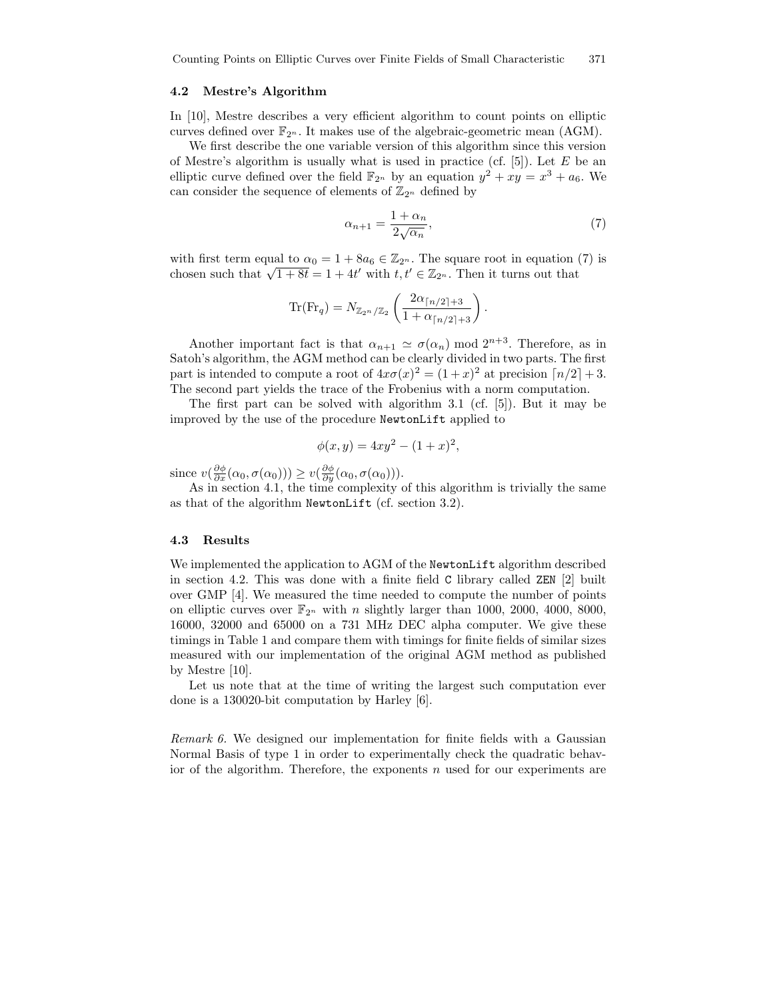#### 4.2 Mestre's Algorithm

In [10], Mestre describes a very efficient algorithm to count points on elliptic curves defined over  $\mathbb{F}_{2^n}$ . It makes use of the algebraic-geometric mean (AGM).

We first describe the one variable version of this algorithm since this version of Mestre's algorithm is usually what is used in practice (cf.  $[5]$ ). Let E be an elliptic curve defined over the field  $\mathbb{F}_{2^n}$  by an equation  $y^2 + xy = x^3 + a_6$ . We can consider the sequence of elements of  $\mathbb{Z}_{2^n}$  defined by

$$
\alpha_{n+1} = \frac{1 + \alpha_n}{2\sqrt{\alpha_n}},\tag{7}
$$

with first term equal to  $\alpha_0 = 1 + 8a_6 \in \mathbb{Z}_{2^n}$ . The square root in equation (7) is chosen such that  $\sqrt{1+8t} = 1 + 4t'$  with  $t, t' \in \mathbb{Z}_{2^n}$ . Then it turns out that

$$
\text{Tr}(\text{Fr}_q) = N_{\mathbb{Z}_{2^n}/\mathbb{Z}_2} \left( \frac{2\alpha_{\lceil n/2 \rceil + 3}}{1 + \alpha_{\lceil n/2 \rceil + 3}} \right).
$$

Another important fact is that  $\alpha_{n+1} \simeq \sigma(\alpha_n) \mod 2^{n+3}$ . Therefore, as in Satoh's algorithm, the AGM method can be clearly divided in two parts. The first part is intended to compute a root of  $4x\sigma(x)^2 = (1+x)^2$  at precision  $\lceil n/2 \rceil + 3$ . The second part yields the trace of the Frobenius with a norm computation.

The first part can be solved with algorithm 3.1 (cf. [5]). But it may be improved by the use of the procedure NewtonLift applied to

$$
\phi(x, y) = 4xy^2 - (1+x)^2,
$$

since  $v(\frac{\partial \phi}{\partial x}(\alpha_0, \sigma(\alpha_0))) \ge v(\frac{\partial \phi}{\partial y}(\alpha_0, \sigma(\alpha_0))).$ 

As in section 4.1, the time complexity of this algorithm is trivially the same as that of the algorithm NewtonLift (cf. section 3.2).

## 4.3 Results

We implemented the application to AGM of the NewtonLift algorithm described in section 4.2. This was done with a finite field C library called ZEN [2] built over GMP [4]. We measured the time needed to compute the number of points on elliptic curves over  $\mathbb{F}_{2^n}$  with *n* slightly larger than 1000, 2000, 4000, 8000, 16000, 32000 and 65000 on a 731 MHz DEC alpha computer. We give these timings in Table 1 and compare them with timings for finite fields of similar sizes measured with our implementation of the original AGM method as published by Mestre [10].

Let us note that at the time of writing the largest such computation ever done is a 130020-bit computation by Harley [6].

Remark 6. We designed our implementation for finite fields with a Gaussian Normal Basis of type 1 in order to experimentally check the quadratic behavior of the algorithm. Therefore, the exponents  $n$  used for our experiments are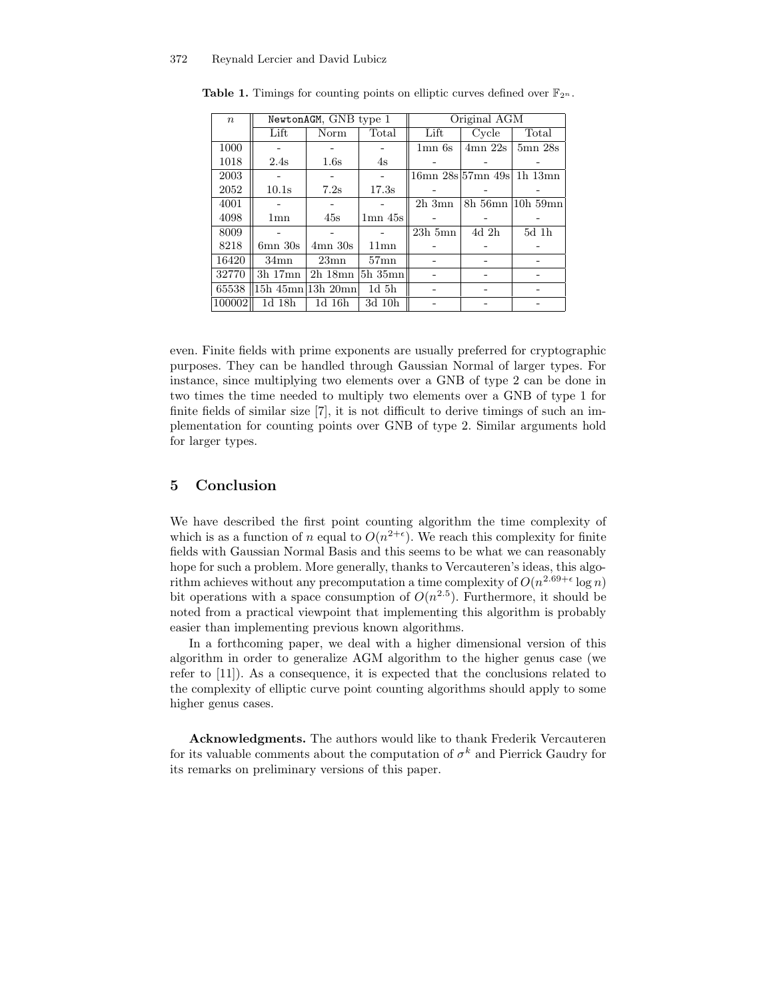| $\boldsymbol{n}$ | NewtonAGM, GNB type 1 |                   |              | Original AGM    |             |                           |
|------------------|-----------------------|-------------------|--------------|-----------------|-------------|---------------------------|
|                  | Lift                  | Norm              | Total        | Lift            | Cycle       | Total                     |
| 1000             |                       |                   |              | $1\text{mn}$ 6s | $4mn$ $22s$ | $5mn$ $28s$               |
| 1018             | 2.4s                  | 1.6s              | 4s           |                 |             |                           |
| 2003             |                       |                   |              |                 |             | 16mn 28s 57mn 49s 1h 13mn |
| 2052             | 10.1s                 | 7.2s              | 17.3s        |                 |             |                           |
| 4001             |                       |                   |              | $2h \, 3mn$     |             | 8h 56mn 10h 59mn          |
| 4098             | 1 <sub>mn</sub>       | 45s               | $1mn$ $45s$  |                 |             |                           |
| 8009             |                       |                   |              | $23h$ 5mn       | $4d$ 2h     | 5d 1h                     |
| 8218             | $6mn$ $30s$           | $4mn$ 30s         | $11$ mn      |                 |             |                           |
| 16420            | $34$ mn               | 23mn              | $57$ mn      |                 |             |                           |
| 32770            | $3h$ 17 $mn$          | $2h$ 18 $mn$      | $5h$ 35 $mn$ |                 |             |                           |
| 65538            |                       | 15h 45mn 13h 20mn | $1d\,5h$     |                 |             |                           |
| 100002           | 1d 18h                | 1d 16h            | 3d 10h       |                 |             |                           |

**Table 1.** Timings for counting points on elliptic curves defined over  $\mathbb{F}_{2^n}$ .

even. Finite fields with prime exponents are usually preferred for cryptographic purposes. They can be handled through Gaussian Normal of larger types. For instance, since multiplying two elements over a GNB of type 2 can be done in two times the time needed to multiply two elements over a GNB of type 1 for finite fields of similar size [7], it is not difficult to derive timings of such an implementation for counting points over GNB of type 2. Similar arguments hold for larger types.

## 5 Conclusion

We have described the first point counting algorithm the time complexity of which is as a function of n equal to  $O(n^{2+\epsilon})$ . We reach this complexity for finite fields with Gaussian Normal Basis and this seems to be what we can reasonably hope for such a problem. More generally, thanks to Vercauteren's ideas, this algorithm achieves without any precomputation a time complexity of  $O(n^{2.69+\epsilon} \log n)$ bit operations with a space consumption of  $O(n^{2.5})$ . Furthermore, it should be noted from a practical viewpoint that implementing this algorithm is probably easier than implementing previous known algorithms.

In a forthcoming paper, we deal with a higher dimensional version of this algorithm in order to generalize AGM algorithm to the higher genus case (we refer to [11]). As a consequence, it is expected that the conclusions related to the complexity of elliptic curve point counting algorithms should apply to some higher genus cases.

Acknowledgments. The authors would like to thank Frederik Vercauteren for its valuable comments about the computation of  $\sigma^k$  and Pierrick Gaudry for its remarks on preliminary versions of this paper.